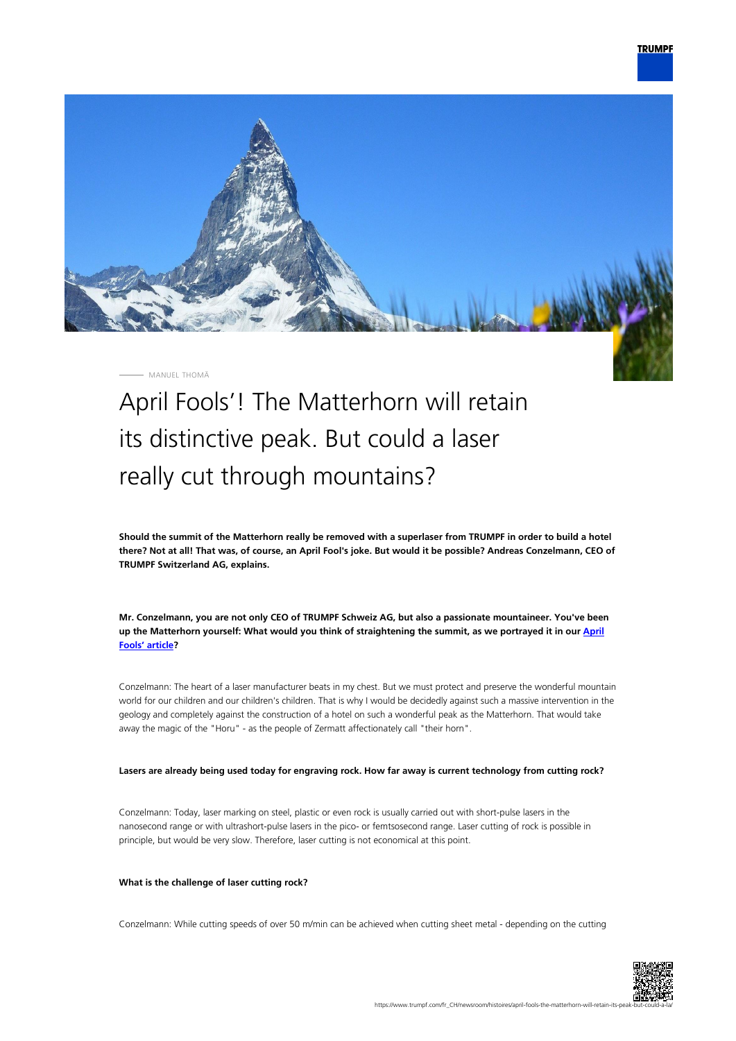

MANUEL THOMÄ

# April Fools'! The Matterhorn will retain its distinctive peak. But could a laser really cut through mountains?

**Should the summit of the Matterhorn really be removed with a superlaser from TRUMPF in order to build a hotel there? Not at all! That was, of course, an April Fool's joke. But would it be possible? Andreas Conzelmann, CEO of TRUMPF Switzerland AG, explains.**

**Mr. Conzelmann, you are not only CEO of TRUMPF Schweiz AG, but also a passionate mountaineer. You've been up the Matterhorn yourself: What would you think of straightening the summit, as we portrayed it in our [April](https://www.trumpf.com/fr_CH/newsroom/histoires/matterhorn-trumpf-to-laser-away-peaks/) [Fools' article?](https://www.trumpf.com/fr_CH/newsroom/histoires/matterhorn-trumpf-to-laser-away-peaks/)**

Conzelmann: The heart of a laser manufacturer beats in my chest. But we must protect and preserve the wonderful mountain world for our children and our children's children. That is why I would be decidedly against such a massive intervention in the geology and completely against the construction of a hotel on such a wonderful peak as the Matterhorn. That would take away the magic of the "Horu" - as the people of Zermatt affectionately call "their horn".

### **Lasers are already being used today for engraving rock. How far away is current technology from cutting rock?**

Conzelmann: Today, laser marking on steel, plastic or even rock is usually carried out with short-pulse lasers in the nanosecond range or with ultrashort-pulse lasers in the pico- or femtsosecond range. Laser cutting of rock is possible in principle, but would be very slow. Therefore, laser cutting is not economical at this point.

### **What is the challenge of laser cutting rock?**

Conzelmann: While cutting speeds of over 50 m/min can be achieved when cutting sheet metal - depending on the cutting